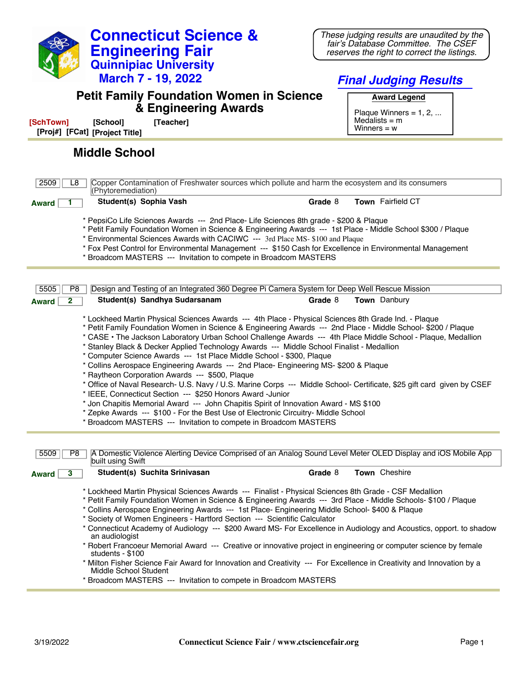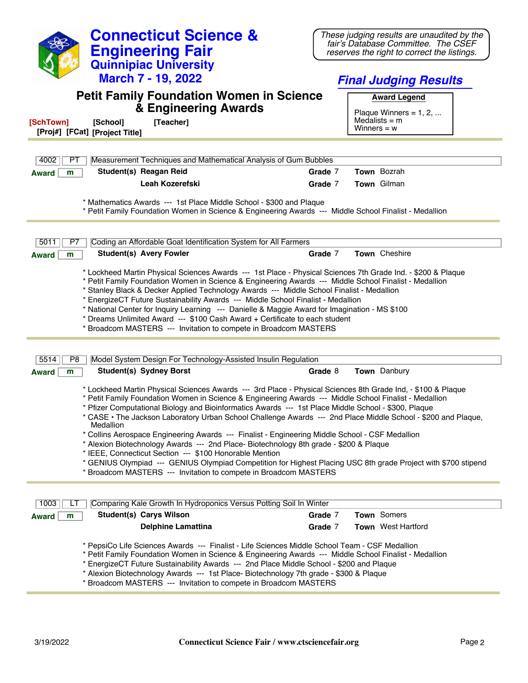| <b>Connecticut Science &amp;</b>                                                                                                                                                                                                                                                                                                                                                                                                                                                                                                                                                                                                                                        | These judging results are unaudited by the<br>fair's Database Committee. The CSEF                                                                                                                                               |
|-------------------------------------------------------------------------------------------------------------------------------------------------------------------------------------------------------------------------------------------------------------------------------------------------------------------------------------------------------------------------------------------------------------------------------------------------------------------------------------------------------------------------------------------------------------------------------------------------------------------------------------------------------------------------|---------------------------------------------------------------------------------------------------------------------------------------------------------------------------------------------------------------------------------|
| <b>Engineering Fair</b><br><b>Quinnipiac University</b>                                                                                                                                                                                                                                                                                                                                                                                                                                                                                                                                                                                                                 | reserves the right to correct the listings.                                                                                                                                                                                     |
| <b>March 7 - 19, 2022</b>                                                                                                                                                                                                                                                                                                                                                                                                                                                                                                                                                                                                                                               | <b>Final Judging Results</b>                                                                                                                                                                                                    |
| <b>Petit Family Foundation Women in Science</b>                                                                                                                                                                                                                                                                                                                                                                                                                                                                                                                                                                                                                         | <b>Award Legend</b>                                                                                                                                                                                                             |
| & Engineering Awards<br>[Teacher]<br>[SchTown]<br>[School]<br>[Proj#] [FCat] [Project Title]                                                                                                                                                                                                                                                                                                                                                                                                                                                                                                                                                                            | Plaque Winners = $1, 2, $<br>Medalists $=$ m<br>Winners = $w$                                                                                                                                                                   |
|                                                                                                                                                                                                                                                                                                                                                                                                                                                                                                                                                                                                                                                                         |                                                                                                                                                                                                                                 |
| 4002<br>Measurement Techniques and Mathematical Analysis of Gum Bubbles<br>PT                                                                                                                                                                                                                                                                                                                                                                                                                                                                                                                                                                                           |                                                                                                                                                                                                                                 |
| Student(s) Reagan Reid<br>m<br><b>Award</b>                                                                                                                                                                                                                                                                                                                                                                                                                                                                                                                                                                                                                             | Town Bozrah<br>Grade 7                                                                                                                                                                                                          |
| Leah Kozerefski                                                                                                                                                                                                                                                                                                                                                                                                                                                                                                                                                                                                                                                         | Town Gilman<br>Grade 7                                                                                                                                                                                                          |
| * Mathematics Awards --- 1st Place Middle School - \$300 and Plaque<br>* Petit Family Foundation Women in Science & Engineering Awards --- Middle School Finalist - Medallion                                                                                                                                                                                                                                                                                                                                                                                                                                                                                           |                                                                                                                                                                                                                                 |
| 5011<br>Coding an Affordable Goat Identification System for All Farmers<br>P7                                                                                                                                                                                                                                                                                                                                                                                                                                                                                                                                                                                           |                                                                                                                                                                                                                                 |
| <b>Student(s) Avery Fowler</b><br><b>Award</b><br>m                                                                                                                                                                                                                                                                                                                                                                                                                                                                                                                                                                                                                     | Town Cheshire<br>Grade 7                                                                                                                                                                                                        |
|                                                                                                                                                                                                                                                                                                                                                                                                                                                                                                                                                                                                                                                                         |                                                                                                                                                                                                                                 |
| * Lockheed Martin Physical Sciences Awards --- 1st Place - Physical Sciences 7th Grade Ind. - \$200 & Plaque<br>* Petit Family Foundation Women in Science & Engineering Awards --- Middle School Finalist - Medallion<br>* Stanley Black & Decker Applied Technology Awards --- Middle School Finalist - Medallion<br>* EnergizeCT Future Sustainability Awards --- Middle School Finalist - Medallion<br>* National Center for Inquiry Learning --- Danielle & Maggie Award for Imagination - MS \$100<br>* Dreams Unlimited Award --- \$100 Cash Award + Certificate to each student<br>* Broadcom MASTERS --- Invitation to compete in Broadcom MASTERS             |                                                                                                                                                                                                                                 |
|                                                                                                                                                                                                                                                                                                                                                                                                                                                                                                                                                                                                                                                                         |                                                                                                                                                                                                                                 |
| 5514<br>P <sub>8</sub><br>Model System Design For Technology-Assisted Insulin Regulation                                                                                                                                                                                                                                                                                                                                                                                                                                                                                                                                                                                |                                                                                                                                                                                                                                 |
| <b>Student(s) Sydney Borst</b><br>m<br><b>Award</b>                                                                                                                                                                                                                                                                                                                                                                                                                                                                                                                                                                                                                     | Town Danbury<br>Grade 8                                                                                                                                                                                                         |
| * Lockheed Martin Physical Sciences Awards --- 3rd Place - Physical Sciences 8th Grade Ind, - \$100 & Plaque<br>* Petit Family Foundation Women in Science & Engineering Awards --- Middle School Finalist - Medallion<br>* Pfizer Computational Biology and Bioinformatics Awards --- 1st Place Middle School - \$300, Plaque<br>Medallion<br>* Collins Aerospace Engineering Awards --- Finalist - Engineering Middle School - CSF Medallion<br>* Alexion Biotechnology Awards --- 2nd Place- Biotechnology 8th grade - \$200 & Plaque<br>* IEEE, Connecticut Section --- \$100 Honorable Mention<br>* Broadcom MASTERS --- Invitation to compete in Broadcom MASTERS | * CASE • The Jackson Laboratory Urban School Challenge Awards --- 2nd Place Middle School - \$200 and Plaque,<br>* GENIUS Olympiad --- GENIUS Olympiad Competition for Highest Placing USC 8th grade Project with \$700 stipend |
| Comparing Kale Growth In Hydroponics Versus Potting Soil In Winter<br>1003<br>LI                                                                                                                                                                                                                                                                                                                                                                                                                                                                                                                                                                                        |                                                                                                                                                                                                                                 |
| <b>Student(s) Carys Wilson</b><br><b>Award</b><br>m                                                                                                                                                                                                                                                                                                                                                                                                                                                                                                                                                                                                                     | Town Somers<br>Grade 7                                                                                                                                                                                                          |
| <b>Delphine Lamattina</b>                                                                                                                                                                                                                                                                                                                                                                                                                                                                                                                                                                                                                                               | <b>Town</b> West Hartford<br>Grade 7                                                                                                                                                                                            |
| * PepsiCo Life Sciences Awards --- Finalist - Life Sciences Middle School Team - CSF Medallion                                                                                                                                                                                                                                                                                                                                                                                                                                                                                                                                                                          |                                                                                                                                                                                                                                 |

\* Petit Family Foundation Women in Science & Engineering Awards --- Middle School Finalist - Medallion

\* EnergizeCT Future Sustainability Awards --- 2nd Place Middle School - \$200 and Plaque

\* Alexion Biotechnology Awards --- 1st Place- Biotechnology 7th grade - \$300 & Plaque

\* Broadcom MASTERS --- Invitation to compete in Broadcom MASTERS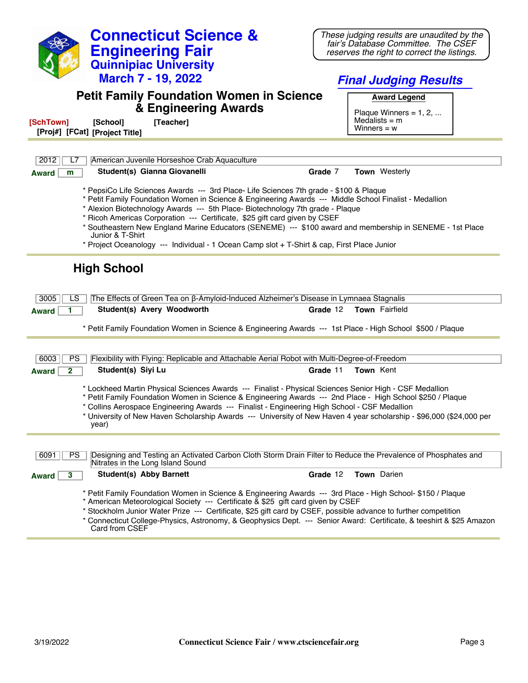| <b>Connecticut Science &amp;</b>                                                                                                                                                                                                                                                                                                                                                                                                                                                                                                                                                                 | These judging results are unaudited by the                                         |  |  |  |
|--------------------------------------------------------------------------------------------------------------------------------------------------------------------------------------------------------------------------------------------------------------------------------------------------------------------------------------------------------------------------------------------------------------------------------------------------------------------------------------------------------------------------------------------------------------------------------------------------|------------------------------------------------------------------------------------|--|--|--|
| <b>Engineering Fair</b>                                                                                                                                                                                                                                                                                                                                                                                                                                                                                                                                                                          | fair's Database Committee. The CSEF<br>reserves the right to correct the listings. |  |  |  |
| <b>Quinnipiac University</b>                                                                                                                                                                                                                                                                                                                                                                                                                                                                                                                                                                     |                                                                                    |  |  |  |
| <b>March 7 - 19, 2022</b>                                                                                                                                                                                                                                                                                                                                                                                                                                                                                                                                                                        | <b>Final Judging Results</b>                                                       |  |  |  |
| <b>Petit Family Foundation Women in Science</b><br>& Engineering Awards                                                                                                                                                                                                                                                                                                                                                                                                                                                                                                                          | <b>Award Legend</b><br>Plaque Winners = $1, 2, $<br>Medalists $=$ m                |  |  |  |
| [Teacher]<br>[SchTown]<br>[School]<br>[Proj#] [FCat] [Project Title]                                                                                                                                                                                                                                                                                                                                                                                                                                                                                                                             | Winners = $w$                                                                      |  |  |  |
|                                                                                                                                                                                                                                                                                                                                                                                                                                                                                                                                                                                                  |                                                                                    |  |  |  |
| 2012<br>American Juvenile Horseshoe Crab Aquaculture<br>L7                                                                                                                                                                                                                                                                                                                                                                                                                                                                                                                                       |                                                                                    |  |  |  |
| Student(s) Gianna Giovanelli<br><b>Award</b><br>m                                                                                                                                                                                                                                                                                                                                                                                                                                                                                                                                                | Grade 7<br><b>Town</b> Westerly                                                    |  |  |  |
| * PepsiCo Life Sciences Awards --- 3rd Place- Life Sciences 7th grade - \$100 & Plaque<br>* Petit Family Foundation Women in Science & Engineering Awards --- Middle School Finalist - Medallion<br>* Alexion Biotechnology Awards --- 5th Place- Biotechnology 7th grade - Plaque<br>* Ricoh Americas Corporation --- Certificate, \$25 gift card given by CSEF<br>* Southeastern New England Marine Educators (SENEME) --- \$100 award and membership in SENEME - 1st Place<br>Junior & T-Shirt<br>* Project Oceanology --- Individual - 1 Ocean Camp slot + T-Shirt & cap, First Place Junior |                                                                                    |  |  |  |
| <b>High School</b><br>3005<br>The Effects of Green Tea on β-Amyloid-Induced Alzheimer's Disease in Lymnaea Stagnalis<br>LS                                                                                                                                                                                                                                                                                                                                                                                                                                                                       |                                                                                    |  |  |  |
| Student(s) Avery Woodworth<br><b>Award</b>                                                                                                                                                                                                                                                                                                                                                                                                                                                                                                                                                       | <b>Town</b> Fairfield<br>Grade 12                                                  |  |  |  |
| * Petit Family Foundation Women in Science & Engineering Awards --- 1st Place - High School \$500 / Plaque                                                                                                                                                                                                                                                                                                                                                                                                                                                                                       |                                                                                    |  |  |  |
|                                                                                                                                                                                                                                                                                                                                                                                                                                                                                                                                                                                                  |                                                                                    |  |  |  |
| 6003<br><b>PS</b><br>Flexibility with Flying: Replicable and Attachable Aerial Robot with Multi-Degree-of-Freedom                                                                                                                                                                                                                                                                                                                                                                                                                                                                                |                                                                                    |  |  |  |
| Student(s) Siyi Lu<br>$\mathbf{2}$<br><b>Award</b>                                                                                                                                                                                                                                                                                                                                                                                                                                                                                                                                               | Grade 11<br>Town Kent                                                              |  |  |  |
| * Lockheed Martin Physical Sciences Awards --- Finalist - Physical Sciences Senior High - CSF Medallion<br>* Petit Family Foundation Women in Science & Engineering Awards --- 2nd Place - High School \$250 / Plaque<br>* Collins Aerospace Engineering Awards --- Finalist - Engineering High School - CSF Medallion<br>University of New Haven Scholarship Awards --- University of New Haven 4 year scholarship - \$96,000 (\$24,000 per<br>year)                                                                                                                                            |                                                                                    |  |  |  |
|                                                                                                                                                                                                                                                                                                                                                                                                                                                                                                                                                                                                  |                                                                                    |  |  |  |
| Designing and Testing an Activated Carbon Cloth Storm Drain Filter to Reduce the Prevalence of Phosphates and<br>6091<br><b>PS</b><br>Nitrates in the Long Island Sound                                                                                                                                                                                                                                                                                                                                                                                                                          |                                                                                    |  |  |  |
| <b>Student(s) Abby Barnett</b><br>3<br><b>Award</b>                                                                                                                                                                                                                                                                                                                                                                                                                                                                                                                                              | Town Darien<br>Grade 12                                                            |  |  |  |
| * Petit Family Foundation Women in Science & Engineering Awards --- 3rd Place - High School- \$150 / Plaque<br>* American Meteorological Society --- Certificate & \$25 gift card given by CSEF<br>* Stockholm Junior Water Prize --- Certificate, \$25 gift card by CSEF, possible advance to further competition<br>* Connecticut College-Physics, Astronomy, & Geophysics Dept. --- Senior Award: Certificate, & teeshirt & \$25 Amazon<br>Card from CSEF                                                                                                                                     |                                                                                    |  |  |  |